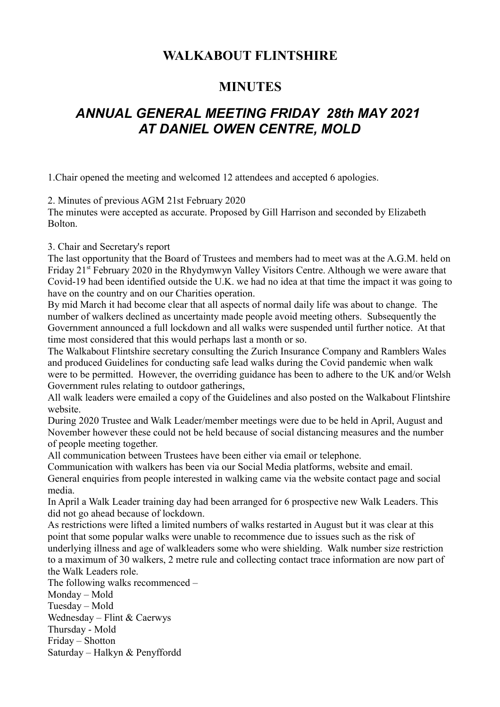# **WALKABOUT FLINTSHIRE**

# **MINUTES**

# *ANNUAL GENERAL MEETING FRIDAY 28th MAY 2021 AT DANIEL OWEN CENTRE, MOLD*

1.Chair opened the meeting and welcomed 12 attendees and accepted 6 apologies.

2. Minutes of previous AGM 21st February 2020

The minutes were accepted as accurate. Proposed by Gill Harrison and seconded by Elizabeth Bolton.

3. Chair and Secretary's report

The last opportunity that the Board of Trustees and members had to meet was at the A.G.M. held on Friday 21st February 2020 in the Rhydymwyn Valley Visitors Centre. Although we were aware that Covid-19 had been identified outside the U.K. we had no idea at that time the impact it was going to have on the country and on our Charities operation.

By mid March it had become clear that all aspects of normal daily life was about to change. The number of walkers declined as uncertainty made people avoid meeting others. Subsequently the Government announced a full lockdown and all walks were suspended until further notice. At that time most considered that this would perhaps last a month or so.

The Walkabout Flintshire secretary consulting the Zurich Insurance Company and Ramblers Wales and produced Guidelines for conducting safe lead walks during the Covid pandemic when walk were to be permitted. However, the overriding guidance has been to adhere to the UK and/or Welsh Government rules relating to outdoor gatherings,

All walk leaders were emailed a copy of the Guidelines and also posted on the Walkabout Flintshire website.

During 2020 Trustee and Walk Leader/member meetings were due to be held in April, August and November however these could not be held because of social distancing measures and the number of people meeting together.

All communication between Trustees have been either via email or telephone.

Communication with walkers has been via our Social Media platforms, website and email.

General enquiries from people interested in walking came via the website contact page and social media.

In April a Walk Leader training day had been arranged for 6 prospective new Walk Leaders. This did not go ahead because of lockdown.

As restrictions were lifted a limited numbers of walks restarted in August but it was clear at this point that some popular walks were unable to recommence due to issues such as the risk of underlying illness and age of walkleaders some who were shielding. Walk number size restriction to a maximum of 30 walkers, 2 metre rule and collecting contact trace information are now part of the Walk Leaders role.

The following walks recommenced –

Monday – Mold Tuesday – Mold

Wednesday – Flint & Caerwys

Thursday - Mold

Friday – Shotton

Saturday – Halkyn & Penyffordd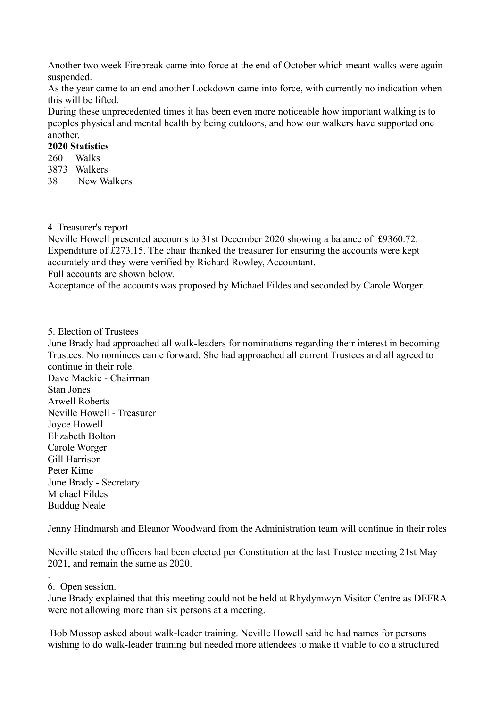Another two week Firebreak came into force at the end of October which meant walks were again suspended.

As the year came to an end another Lockdown came into force, with currently no indication when this will be lifted.

During these unprecedented times it has been even more noticeable how important walking is to peoples physical and mental health by being outdoors, and how our walkers have supported one another.

### **2020 Statistics**

- 260 Walks
- 3873 Walkers
- 38 New Walkers

#### 4. Treasurer's report

Neville Howell presented accounts to 31st December 2020 showing a balance of £9360.72. Expenditure of £273.15. The chair thanked the treasurer for ensuring the accounts were kept accurately and they were verified by Richard Rowley, Accountant.

Full accounts are shown below.

Acceptance of the accounts was proposed by Michael Fildes and seconded by Carole Worger.

## 5. Election of Trustees

June Brady had approached all walk-leaders for nominations regarding their interest in becoming Trustees. No nominees came forward. She had approached all current Trustees and all agreed to continue in their role. Dave Mackie - Chairman Stan Jones Arwell Roberts

Neville Howell - Treasurer Joyce Howell Elizabeth Bolton Carole Worger Gill Harrison Peter Kime June Brady - Secretary Michael Fildes Buddug Neale

Jenny Hindmarsh and Eleanor Woodward from the Administration team will continue in their roles

Neville stated the officers had been elected per Constitution at the last Trustee meeting 21st May 2021, and remain the same as 2020.

#### . 6. Open session.

June Brady explained that this meeting could not be held at Rhydymwyn Visitor Centre as DEFRA were not allowing more than six persons at a meeting.

 Bob Mossop asked about walk-leader training. Neville Howell said he had names for persons wishing to do walk-leader training but needed more attendees to make it viable to do a structured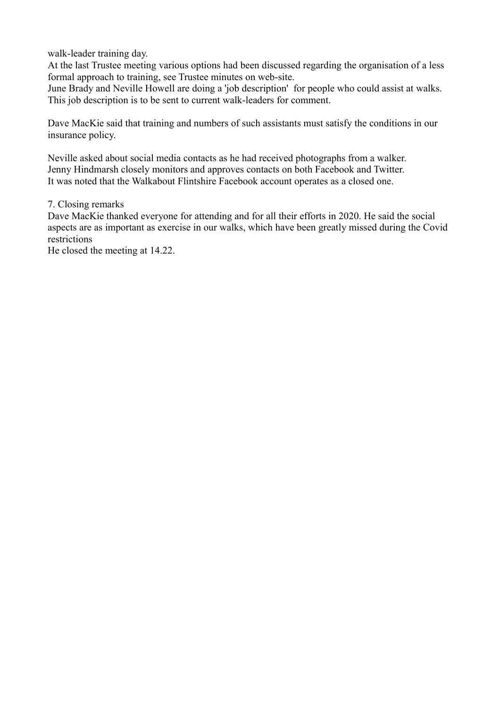walk-leader training day.

At the last Trustee meeting various options had been discussed regarding the organisation of a less formal approach to training, see Trustee minutes on web-site.

June Brady and Neville Howell are doing a 'job description' for people who could assist at walks. This job description is to be sent to current walk-leaders for comment.

Dave MacKie said that training and numbers of such assistants must satisfy the conditions in our insurance policy.

Neville asked about social media contacts as he had received photographs from a walker. Jenny Hindmarsh closely monitors and approves contacts on both Facebook and Twitter. It was noted that the Walkabout Flintshire Facebook account operates as a closed one.

### 7. Closing remarks

Dave MacKie thanked everyone for attending and for all their efforts in 2020. He said the social aspects are as important as exercise in our walks, which have been greatly missed during the Covid restrictions

He closed the meeting at 14.22.